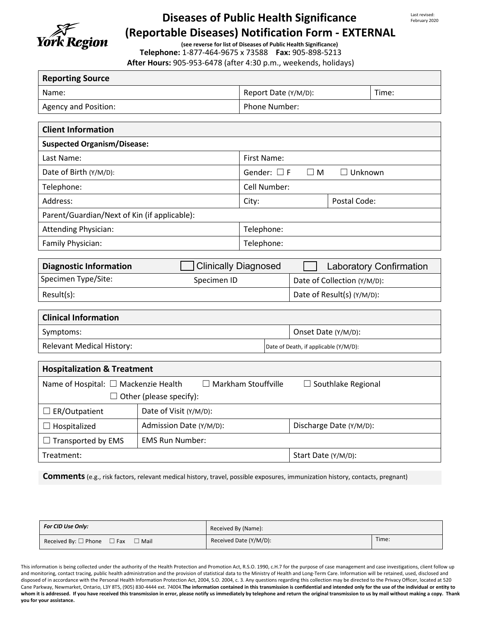

# **Diseases of Public Health Significance (Reportable Diseases) Notification Form - EXTERNAL**

Last revised: February 2020

**(see reverse for list of Diseases of Public Health Significance) Telephone:** 1-877-464-9675 x 73588 **Fax:** 905-898-5213 **After Hours:** 905-953-6478 (after 4:30 p.m., weekends, holidays)

| <b>Reporting Source</b>                                                                         |                                                              |                                                |                                |  |       |  |  |
|-------------------------------------------------------------------------------------------------|--------------------------------------------------------------|------------------------------------------------|--------------------------------|--|-------|--|--|
| Name:                                                                                           |                                                              |                                                | Report Date (Y/M/D):           |  | Time: |  |  |
| Agency and Position:                                                                            |                                                              | Phone Number:                                  |                                |  |       |  |  |
|                                                                                                 |                                                              |                                                |                                |  |       |  |  |
| <b>Client Information</b>                                                                       |                                                              |                                                |                                |  |       |  |  |
| <b>Suspected Organism/Disease:</b>                                                              |                                                              |                                                |                                |  |       |  |  |
| Last Name:                                                                                      |                                                              | <b>First Name:</b>                             |                                |  |       |  |  |
| Date of Birth (Y/M/D):                                                                          |                                                              | Gender: $\Box F$<br>$\Box$ Unknown<br>$\Box$ M |                                |  |       |  |  |
| Telephone:                                                                                      |                                                              | Cell Number:                                   |                                |  |       |  |  |
| Address:                                                                                        |                                                              | Postal Code:<br>City:                          |                                |  |       |  |  |
| Parent/Guardian/Next of Kin (if applicable):                                                    |                                                              |                                                |                                |  |       |  |  |
| <b>Attending Physician:</b>                                                                     |                                                              | Telephone:                                     |                                |  |       |  |  |
| Family Physician:                                                                               |                                                              | Telephone:                                     |                                |  |       |  |  |
|                                                                                                 |                                                              |                                                |                                |  |       |  |  |
|                                                                                                 | <b>Diagnostic Information</b><br><b>Clinically Diagnosed</b> |                                                | <b>Laboratory Confirmation</b> |  |       |  |  |
| Specimen Type/Site:                                                                             | Specimen ID                                                  |                                                | Date of Collection (Y/M/D):    |  |       |  |  |
| Result(s):                                                                                      |                                                              |                                                | Date of Result(s) (Y/M/D):     |  |       |  |  |
| <b>Clinical Information</b>                                                                     |                                                              |                                                |                                |  |       |  |  |
| Symptoms:                                                                                       |                                                              | Onset Date (Y/M/D):                            |                                |  |       |  |  |
| <b>Relevant Medical History:</b>                                                                |                                                              | Date of Death, if applicable (Y/M/D):          |                                |  |       |  |  |
|                                                                                                 |                                                              |                                                |                                |  |       |  |  |
| <b>Hospitalization &amp; Treatment</b>                                                          |                                                              |                                                |                                |  |       |  |  |
| Name of Hospital: □ Mackenzie Health<br>$\Box$ Markham Stouffville<br>$\Box$ Southlake Regional |                                                              |                                                |                                |  |       |  |  |
| $\Box$ Other (please specify):                                                                  |                                                              |                                                |                                |  |       |  |  |
| $\Box$ ER/Outpatient                                                                            | Date of Visit (Y/M/D):                                       |                                                |                                |  |       |  |  |
| $\Box$ Hospitalized                                                                             | Admission Date (Y/M/D):                                      | Discharge Date (Y/M/D):                        |                                |  |       |  |  |
| Transported by EMS                                                                              | <b>EMS Run Number:</b>                                       |                                                |                                |  |       |  |  |
| Treatment:                                                                                      |                                                              |                                                | Start Date (Y/M/D):            |  |       |  |  |

**Comments**(e.g., risk factors, relevant medical history, travel, possible exposures, immunization history, contacts, pregnant)

| For CID Use Only:                                         | Received By (Name):    |       |  |
|-----------------------------------------------------------|------------------------|-------|--|
| Received By: $\square$ Phone $\square$ Fax<br>$\Box$ Mail | Received Date (Y/M/D): | Time: |  |

This information is being collected under the authority of the Health Protection and Promotion Act, R.S.O. 1990, c.H.7 for the purpose of case management and case investigations, client follow up and monitoring, contact tracing, public health administration and the provision of statistical data to the Ministry of Health and Long-Term Care. Information will be retained, used, disclosed and disposed of in accordance with the Personal Health Information Protection Act, 2004, S.O. 2004, c. 3. Any questions regarding this collection may be directed to the Privacy Officer, located at 520 Cane Parkway, Newmarket, Ontario, L3Y 8T5, (905) 830-4444 ext. 74004.**The information contained in this transmission is confidential and intended only for the use of the individual or entity to**  whom it is addressed. If you have received this transmission in error, please notify us immediately by telephone and return the original transmission to us by mail without making a copy. Thank **you for your assistance.**